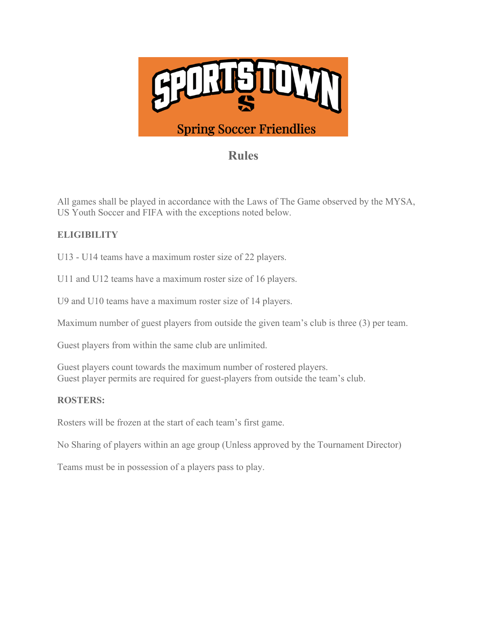

# **Rules**

All games shall be played in accordance with the Laws of The Game observed by the MYSA, US Youth Soccer and FIFA with the exceptions noted below.

# **ELIGIBILITY**

U13 - U14 teams have a maximum roster size of 22 players.

U11 and U12 teams have a maximum roster size of 16 players.

U9 and U10 teams have a maximum roster size of 14 players.

Maximum number of guest players from outside the given team's club is three (3) per team.

Guest players from within the same club are unlimited.

Guest players count towards the maximum number of rostered players. Guest player permits are required for guest-players from outside the team's club.

#### **ROSTERS:**

Rosters will be frozen at the start of each team's first game.

No Sharing of players within an age group (Unless approved by the Tournament Director)

Teams must be in possession of a players pass to play.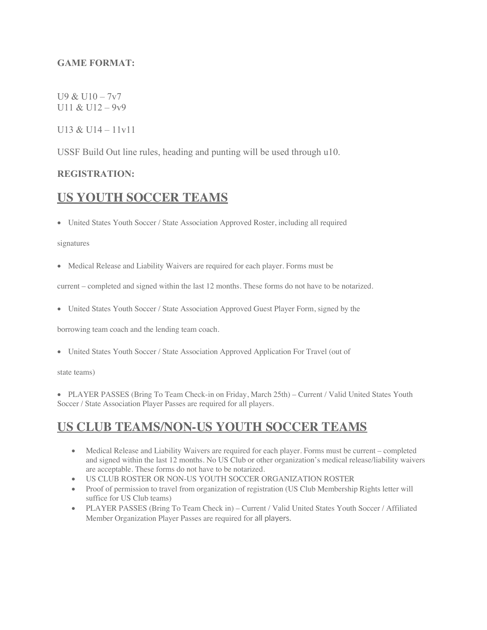#### **GAME FORMAT:**

#### U9 & U10 – 7v7 U11 & U12 – 9v9

#### U13 & U14 –  $11v11$

USSF Build Out line rules, heading and punting will be used through u10.

#### **REGISTRATION:**

# **US YOUTH SOCCER TEAMS**

• United States Youth Soccer / State Association Approved Roster, including all required

signatures

• Medical Release and Liability Waivers are required for each player. Forms must be

current – completed and signed within the last 12 months. These forms do not have to be notarized.

• United States Youth Soccer / State Association Approved Guest Player Form, signed by the

borrowing team coach and the lending team coach.

• United States Youth Soccer / State Association Approved Application For Travel (out of

state teams)

• PLAYER PASSES (Bring To Team Check-in on Friday, March 25th) – Current / Valid United States Youth Soccer / State Association Player Passes are required for all players.

# **US CLUB TEAMS/NON-US YOUTH SOCCER TEAMS**

- Medical Release and Liability Waivers are required for each player. Forms must be current completed and signed within the last 12 months. No US Club or other organization's medical release/liability waivers are acceptable. These forms do not have to be notarized.
- US CLUB ROSTER OR NON-US YOUTH SOCCER ORGANIZATION ROSTER
- Proof of permission to travel from organization of registration (US Club Membership Rights letter will suffice for US Club teams)
- PLAYER PASSES (Bring To Team Check in) Current / Valid United States Youth Soccer / Affiliated Member Organization Player Passes are required for all players.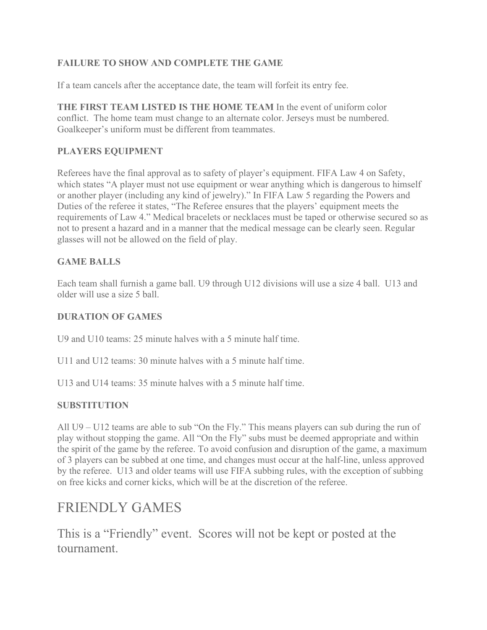## **FAILURE TO SHOW AND COMPLETE THE GAME**

If a team cancels after the acceptance date, the team will forfeit its entry fee.

**THE FIRST TEAM LISTED IS THE HOME TEAM** In the event of uniform color conflict. The home team must change to an alternate color. Jerseys must be numbered. Goalkeeper's uniform must be different from teammates.

# **PLAYERS EQUIPMENT**

Referees have the final approval as to safety of player's equipment. FIFA Law 4 on Safety, which states "A player must not use equipment or wear anything which is dangerous to himself or another player (including any kind of jewelry)." In FIFA Law 5 regarding the Powers and Duties of the referee it states, "The Referee ensures that the players' equipment meets the requirements of Law 4." Medical bracelets or necklaces must be taped or otherwise secured so as not to present a hazard and in a manner that the medical message can be clearly seen. Regular glasses will not be allowed on the field of play.

## **GAME BALLS**

Each team shall furnish a game ball. U9 through U12 divisions will use a size 4 ball. U13 and older will use a size 5 ball.

#### **DURATION OF GAMES**

U9 and U10 teams: 25 minute halves with a 5 minute half time.

U11 and U12 teams: 30 minute halves with a 5 minute half time.

U13 and U14 teams: 35 minute halves with a 5 minute half time.

## **SUBSTITUTION**

All U9 – U12 teams are able to sub "On the Fly." This means players can sub during the run of play without stopping the game. All "On the Fly" subs must be deemed appropriate and within the spirit of the game by the referee. To avoid confusion and disruption of the game, a maximum of 3 players can be subbed at one time, and changes must occur at the half-line, unless approved by the referee. U13 and older teams will use FIFA subbing rules, with the exception of subbing on free kicks and corner kicks, which will be at the discretion of the referee.

# FRIENDLY GAMES

This is a "Friendly" event. Scores will not be kept or posted at the tournament.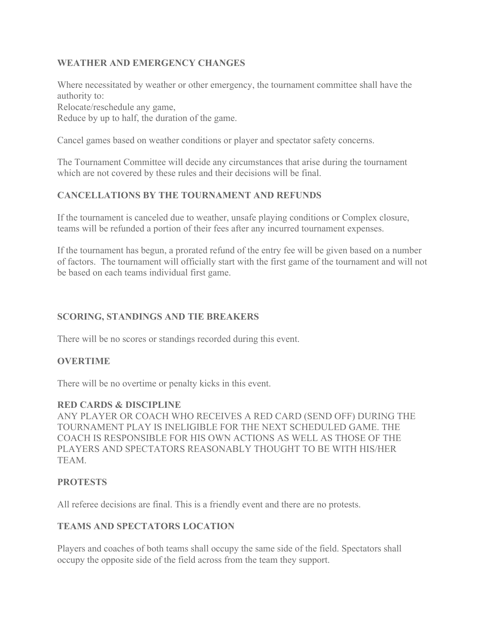#### **WEATHER AND EMERGENCY CHANGES**

Where necessitated by weather or other emergency, the tournament committee shall have the authority to:

Relocate/reschedule any game,

Reduce by up to half, the duration of the game.

Cancel games based on weather conditions or player and spectator safety concerns.

The Tournament Committee will decide any circumstances that arise during the tournament which are not covered by these rules and their decisions will be final.

#### **CANCELLATIONS BY THE TOURNAMENT AND REFUNDS**

If the tournament is canceled due to weather, unsafe playing conditions or Complex closure, teams will be refunded a portion of their fees after any incurred tournament expenses.

If the tournament has begun, a prorated refund of the entry fee will be given based on a number of factors. The tournament will officially start with the first game of the tournament and will not be based on each teams individual first game.

#### **SCORING, STANDINGS AND TIE BREAKERS**

There will be no scores or standings recorded during this event.

#### **OVERTIME**

There will be no overtime or penalty kicks in this event.

#### **RED CARDS & DISCIPLINE**

ANY PLAYER OR COACH WHO RECEIVES A RED CARD (SEND OFF) DURING THE TOURNAMENT PLAY IS INELIGIBLE FOR THE NEXT SCHEDULED GAME. THE COACH IS RESPONSIBLE FOR HIS OWN ACTIONS AS WELL AS THOSE OF THE PLAYERS AND SPECTATORS REASONABLY THOUGHT TO BE WITH HIS/HER TEAM.

#### **PROTESTS**

All referee decisions are final. This is a friendly event and there are no protests.

#### **TEAMS AND SPECTATORS LOCATION**

Players and coaches of both teams shall occupy the same side of the field. Spectators shall occupy the opposite side of the field across from the team they support.